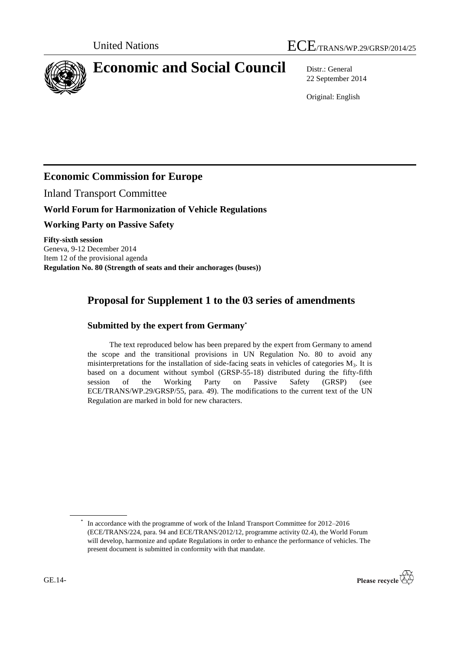

# **Economic and Social Council** Distr.: General

22 September 2014

Original: English

## **Economic Commission for Europe**

Inland Transport Committee

### **World Forum for Harmonization of Vehicle Regulations**

**Working Party on Passive Safety**

**Fifty-sixth session** Geneva, 9-12 December 2014 Item 12 of the provisional agenda **Regulation No. 80 (Strength of seats and their anchorages (buses))**

# **Proposal for Supplement 1 to the 03 series of amendments**

#### **Submitted by the expert from Germany\***

The text reproduced below has been prepared by the expert from Germany to amend the scope and the transitional provisions in UN Regulation No. 80 to avoid any misinterpretations for the installation of side-facing seats in vehicles of categories  $M_3$ . It is based on a document without symbol (GRSP-55-18) distributed during the fifty-fifth session of the Working Party on Passive Safety (GRSP) (see ECE/TRANS/WP.29/GRSP/55, para. 49). The modifications to the current text of the UN Regulation are marked in bold for new characters.

<sup>\*</sup> In accordance with the programme of work of the Inland Transport Committee for 2012–2016 (ECE/TRANS/224, para. 94 and ECE/TRANS/2012/12, programme activity 02.4), the World Forum will develop, harmonize and update Regulations in order to enhance the performance of vehicles. The present document is submitted in conformity with that mandate.